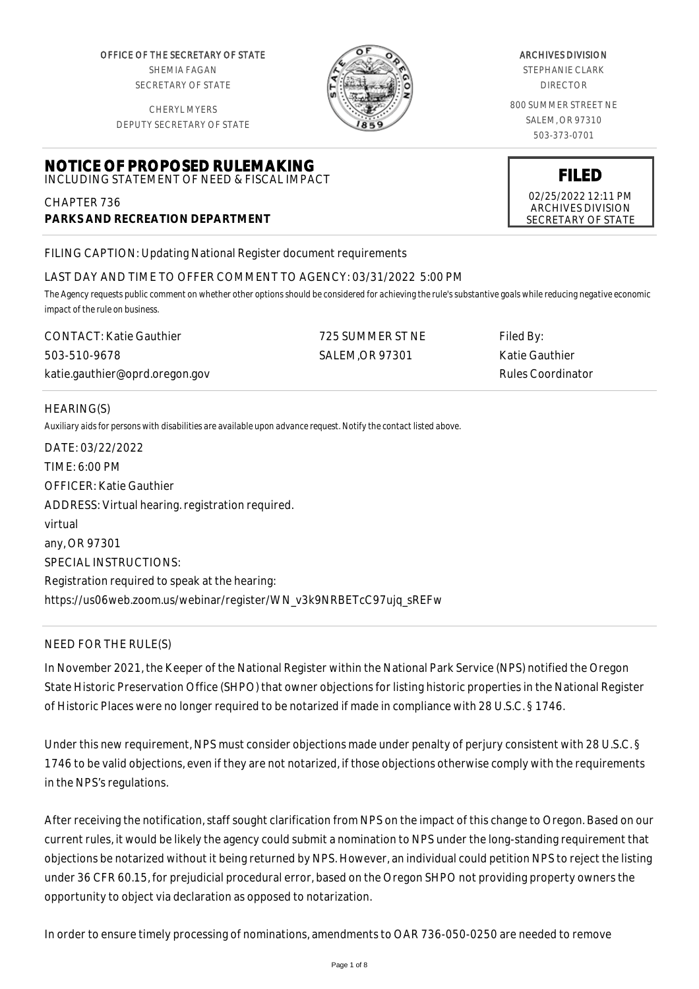OFFICE OF THE SECRETARY OF STATE SHEMIA FAGAN SECRETARY OF STATE

CHERYL MYERS



#### ARCHIVES DIVISION

STEPHANIE CLARK DIRECTOR

800 SUMMER STREET NE SALEM, OR 97310 503-373-0701

> **FILED** 02/25/2022 12:11 PM ARCHIVES DIVISION SECRETARY OF STATE

DEPUTY SECRETARY OF STATE

#### **NOTICE OF PROPOSED RULEMAKING** INCLUDING STATEMENT OF NEED & FISCAL IMPACT

CHAPTER 736 **PARKS AND RECREATION DEPARTMENT**

FILING CAPTION: Updating National Register document requirements

# LAST DAY AND TIME TO OFFER COMMENT TO AGENCY: 03/31/2022 5:00 PM

*The Agency requests public comment on whether other options should be considered for achieving the rule's substantive goals while reducing negative economic impact of the rule on business.*

| <b>CONTACT:</b> Katie Gauthier | 725 SUMMER ST NE | Filed By:         |
|--------------------------------|------------------|-------------------|
| 503-510-9678                   | SALEM.OR 97301   | Katie Gauthier    |
| katie.gauthier@oprd.oregon.gov |                  | Rules Coordinator |

#### HEARING(S)

*Auxiliary aids for persons with disabilities are available upon advance request. Notify the contact listed above.*

| DATE: 03/22/2022                                                   |
|--------------------------------------------------------------------|
| TIME: 6:00 PM                                                      |
| OFFICER: Katie Gauthier                                            |
| ADDRESS: Virtual hearing. registration required.                   |
| virtual                                                            |
| any, OR 97301                                                      |
| SPECIAL INSTRUCTIONS:                                              |
| Registration required to speak at the hearing:                     |
| https://us06web.zoom.us/webinar/register/WN_v3k9NRBETcC97ujq_sREFw |

# NEED FOR THE RULE(S)

In November 2021, the Keeper of the National Register within the National Park Service (NPS) notified the Oregon State Historic Preservation Office (SHPO) that owner objections for listing historic properties in the National Register of Historic Places were no longer required to be notarized if made in compliance with 28 U.S.C. § 1746.

Under this new requirement, NPS must consider objections made under penalty of perjury consistent with 28 U.S.C. § 1746 to be valid objections, even if they are not notarized, if those objections otherwise comply with the requirements in the NPS's regulations.

After receiving the notification, staff sought clarification from NPS on the impact of this change to Oregon. Based on our current rules, it would be likely the agency could submit a nomination to NPS under the long-standing requirement that objections be notarized without it being returned by NPS. However, an individual could petition NPS to reject the listing under 36 CFR 60.15, for prejudicial procedural error, based on the Oregon SHPO not providing property owners the opportunity to object via declaration as opposed to notarization.

In order to ensure timely processing of nominations, amendments to OAR 736-050-0250 are needed to remove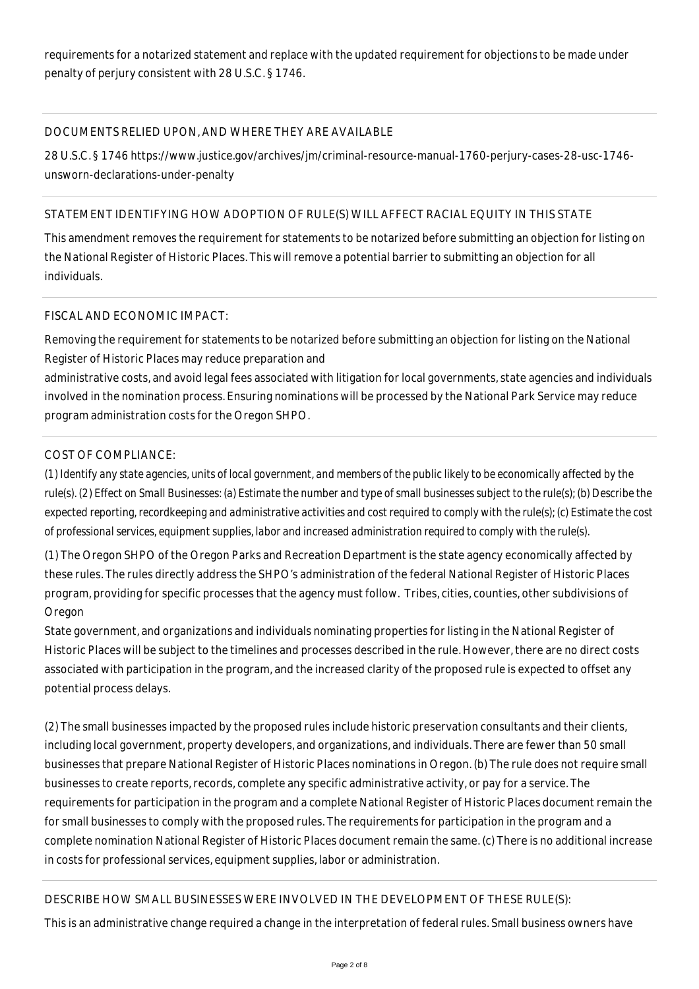requirements for a notarized statement and replace with the updated requirement for objections to be made under penalty of perjury consistent with 28 U.S.C. § 1746.

## DOCUMENTS RELIED UPON, AND WHERE THEY ARE AVAILABLE

28 U.S.C. § 1746 https://www.justice.gov/archives/jm/criminal-resource-manual-1760-perjury-cases-28-usc-1746 unsworn-declarations-under-penalty

## STATEMENT IDENTIFYING HOW ADOPTION OF RULE(S) WILL AFFECT RACIAL EQUITY IN THIS STATE

This amendment removes the requirement for statements to be notarized before submitting an objection for listing on the National Register of Historic Places. This will remove a potential barrier to submitting an objection for all individuals.

## FISCAL AND ECONOMIC IMPACT:

Removing the requirement for statements to be notarized before submitting an objection for listing on the National Register of Historic Places may reduce preparation and

administrative costs, and avoid legal fees associated with litigation for local governments, state agencies and individuals involved in the nomination process. Ensuring nominations will be processed by the National Park Service may reduce program administration costs for the Oregon SHPO.

## COST OF COMPLIANCE:

*(1) Identify any state agencies, units of local government, and members of the public likely to be economically affected by the rule(s). (2) Effect on Small Businesses: (a) Estimate the number and type of small businesses subject to the rule(s); (b) Describe the expected reporting, recordkeeping and administrative activities and cost required to comply with the rule(s); (c) Estimate the cost of professional services, equipment supplies, labor and increased administration required to comply with the rule(s).*

(1) The Oregon SHPO of the Oregon Parks and Recreation Department is the state agency economically affected by these rules. The rules directly address the SHPO's administration of the federal National Register of Historic Places program, providing for specific processes that the agency must follow. Tribes, cities, counties, other subdivisions of Oregon

State government, and organizations and individuals nominating properties for listing in the National Register of Historic Places will be subject to the timelines and processes described in the rule. However, there are no direct costs associated with participation in the program, and the increased clarity of the proposed rule is expected to offset any potential process delays.

(2) The small businesses impacted by the proposed rules include historic preservation consultants and their clients, including local government, property developers, and organizations, and individuals. There are fewer than 50 small businesses that prepare National Register of Historic Places nominations in Oregon. (b) The rule does not require small businesses to create reports, records, complete any specific administrative activity, or pay for a service. The requirements for participation in the program and a complete National Register of Historic Places document remain the for small businesses to comply with the proposed rules. The requirements for participation in the program and a complete nomination National Register of Historic Places document remain the same. (c) There is no additional increase in costs for professional services, equipment supplies, labor or administration.

# DESCRIBE HOW SMALL BUSINESSES WERE INVOLVED IN THE DEVELOPMENT OF THESE RULE(S):

This is an administrative change required a change in the interpretation of federal rules. Small business owners have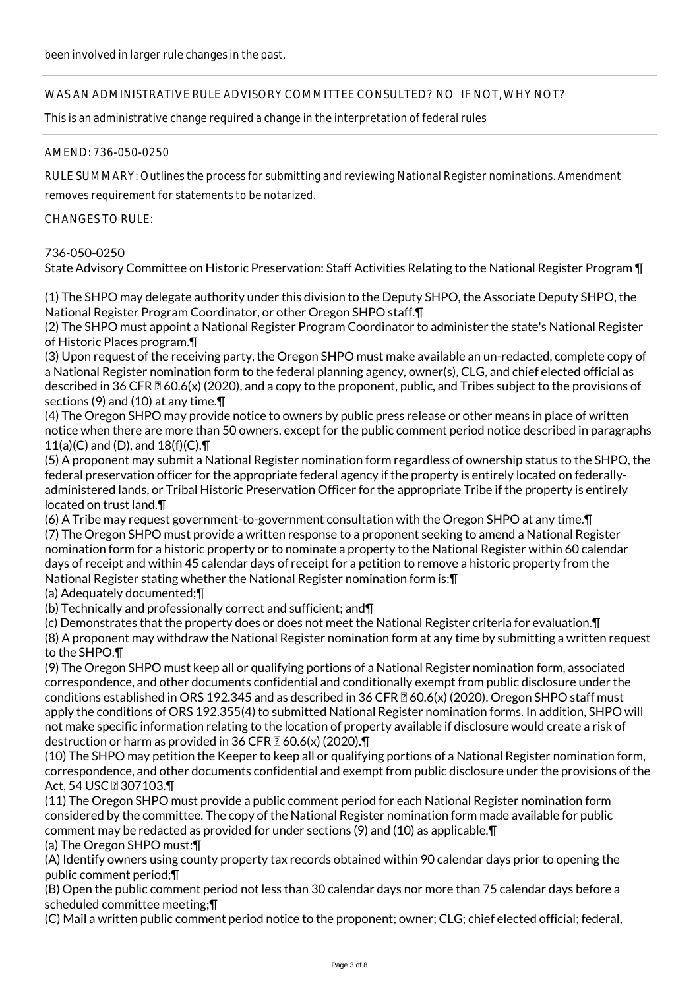## WAS AN ADMINISTRATIVE RULE ADVISORY COMMITTEE CONSULTED? NO IF NOT, WHY NOT?

This is an administrative change required a change in the interpretation of federal rules

#### AMEND: 736-050-0250

RULE SUMMARY: Outlines the process for submitting and reviewing National Register nominations. Amendment

removes requirement for statements to be notarized.

## CHANGES TO RULE:

## 736-050-0250

State Advisory Committee on Historic Preservation: Staff Activities Relating to the National Register Program ¶

(1) The SHPO may delegate authority under this division to the Deputy SHPO, the Associate Deputy SHPO, the National Register Program Coordinator, or other Oregon SHPO staff.¶

(2) The SHPO must appoint a National Register Program Coordinator to administer the state's National Register of Historic Places program.¶

(3) Upon request of the receiving party, the Oregon SHPO must make available an un-redacted, complete copy of a National Register nomination form to the federal planning agency, owner(s), CLG, and chief elected official as described in 36 CFR  $\& 60.6(x)$  (2020), and a copy to the proponent, public, and Tribes subject to the provisions of sections (9) and (10) at any time.¶

(4) The Oregon SHPO may provide notice to owners by public press release or other means in place of written notice when there are more than 50 owners, except for the public comment period notice described in paragraphs 11(a)(C) and (D), and  $18(f)(C) \cdot \mathbf{T}$ 

(5) A proponent may submit a National Register nomination form regardless of ownership status to the SHPO, the federal preservation officer for the appropriate federal agency if the property is entirely located on federallyadministered lands, or Tribal Historic Preservation Officer for the appropriate Tribe if the property is entirely located on trust land.¶

(6) A Tribe may request government-to-government consultation with the Oregon SHPO at any time.¶ (7) The Oregon SHPO must provide a written response to a proponent seeking to amend a National Register nomination form for a historic property or to nominate a property to the National Register within 60 calendar days of receipt and within 45 calendar days of receipt for a petition to remove a historic property from the National Register stating whether the National Register nomination form is:¶

(a) Adequately documented;¶

(b) Technically and professionally correct and sufficient; and¶

(c) Demonstrates that the property does or does not meet the National Register criteria for evaluation.¶

(8) A proponent may withdraw the National Register nomination form at any time by submitting a written request to the SHPO.¶

(9) The Oregon SHPO must keep all or qualifying portions of a National Register nomination form, associated correspondence, and other documents confidential and conditionally exempt from public disclosure under the conditions established in ORS 192.345 and as described in 36 CFR  $\Omega$  60.6(x) (2020). Oregon SHPO staff must apply the conditions of ORS 192.355(4) to submitted National Register nomination forms. In addition, SHPO will not make specific information relating to the location of property available if disclosure would create a risk of destruction or harm as provided in 36 CFR  $\mathbb{Z}$  60.6(x) (2020). $\P$ 

(10) The SHPO may petition the Keeper to keep all or qualifying portions of a National Register nomination form, correspondence, and other documents confidential and exempt from public disclosure under the provisions of the Act, 54 USC 2307103.

(11) The Oregon SHPO must provide a public comment period for each National Register nomination form considered by the committee. The copy of the National Register nomination form made available for public comment may be redacted as provided for under sections (9) and (10) as applicable.¶

(a) The Oregon SHPO must:¶

(A) Identify owners using county property tax records obtained within 90 calendar days prior to opening the public comment period;¶

(B) Open the public comment period not less than 30 calendar days nor more than 75 calendar days before a scheduled committee meeting;¶

(C) Mail a written public comment period notice to the proponent; owner; CLG; chief elected official; federal,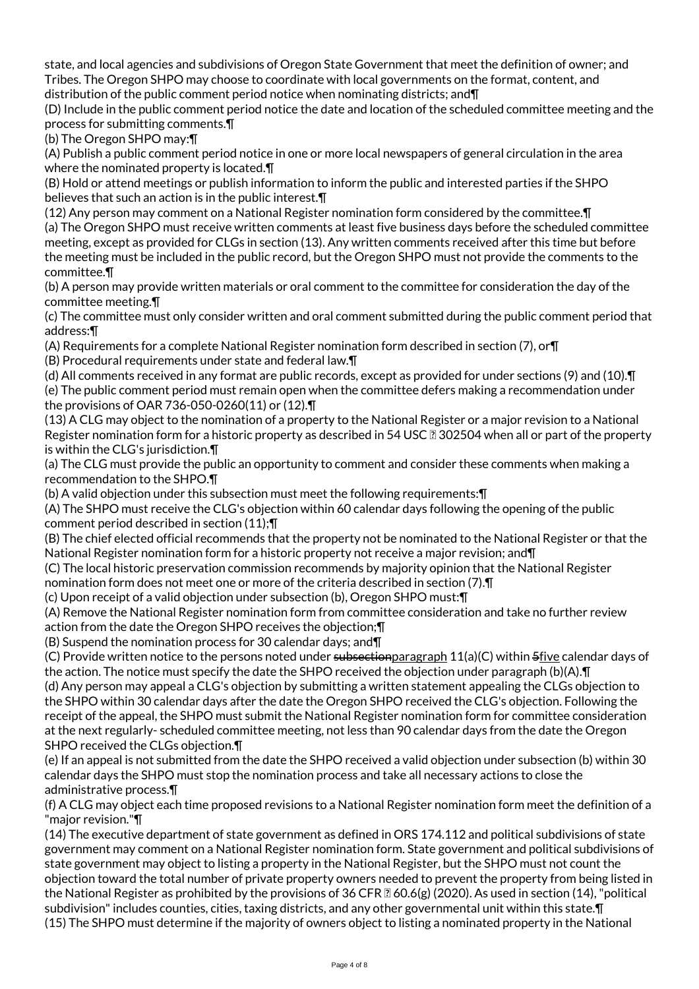state, and local agencies and subdivisions of Oregon State Government that meet the definition of owner; and Tribes. The Oregon SHPO may choose to coordinate with local governments on the format, content, and distribution of the public comment period notice when nominating districts; and¶

(D) Include in the public comment period notice the date and location of the scheduled committee meeting and the process for submitting comments.¶

(b) The Oregon SHPO may:¶

(A) Publish a public comment period notice in one or more local newspapers of general circulation in the area where the nominated property is located.¶

(B) Hold or attend meetings or publish information to inform the public and interested parties if the SHPO believes that such an action is in the public interest.¶

(12) Any person may comment on a National Register nomination form considered by the committee.¶ (a) The Oregon SHPO must receive written comments at least five business days before the scheduled committee meeting, except as provided for CLGs in section (13). Any written comments received after this time but before the meeting must be included in the public record, but the Oregon SHPO must not provide the comments to the committee.¶

(b) A person may provide written materials or oral comment to the committee for consideration the day of the committee meeting.¶

(c) The committee must only consider written and oral comment submitted during the public comment period that address:¶

(A) Requirements for a complete National Register nomination form described in section (7), or¶

(B) Procedural requirements under state and federal law.¶

(d) All comments received in any format are public records, except as provided for under sections (9) and (10).¶ (e) The public comment period must remain open when the committee defers making a recommendation under the provisions of OAR 736-050-0260(11) or (12).¶

(13) A CLG may object to the nomination of a property to the National Register or a major revision to a National Register nomination form for a historic property as described in 54 USC  $\Omega$  302504 when all or part of the property is within the CLG's jurisdiction.¶

(a) The CLG must provide the public an opportunity to comment and consider these comments when making a recommendation to the SHPO.¶

(b) A valid objection under this subsection must meet the following requirements:¶

(A) The SHPO must receive the CLG's objection within 60 calendar days following the opening of the public comment period described in section (11);¶

(B) The chief elected official recommends that the property not be nominated to the National Register or that the National Register nomination form for a historic property not receive a major revision; and¶

(C) The local historic preservation commission recommends by majority opinion that the National Register nomination form does not meet one or more of the criteria described in section (7).¶

(c) Upon receipt of a valid objection under subsection (b), Oregon SHPO must:¶

(A) Remove the National Register nomination form from committee consideration and take no further review action from the date the Oregon SHPO receives the objection;¶

(B) Suspend the nomination process for 30 calendar days; and¶

(C) Provide written notice to the persons noted under subsection paragraph  $11(a)(C)$  within  $5$ five calendar days of the action. The notice must specify the date the SHPO received the objection under paragraph (b)(A).¶

(d) Any person may appeal a CLG's objection by submitting a written statement appealing the CLGs objection to the SHPO within 30 calendar days after the date the Oregon SHPO received the CLG's objection. Following the receipt of the appeal, the SHPO must submit the National Register nomination form for committee consideration at the next regularly- scheduled committee meeting, not less than 90 calendar days from the date the Oregon SHPO received the CLGs objection.¶

(e) If an appeal is not submitted from the date the SHPO received a valid objection under subsection (b) within 30 calendar days the SHPO must stop the nomination process and take all necessary actions to close the administrative process.¶

(f) A CLG may object each time proposed revisions to a National Register nomination form meet the definition of a "major revision."¶

(14) The executive department of state government as defined in ORS 174.112 and political subdivisions of state government may comment on a National Register nomination form. State government and political subdivisions of state government may object to listing a property in the National Register, but the SHPO must not count the objection toward the total number of private property owners needed to prevent the property from being listed in the National Register as prohibited by the provisions of  $36$  CFR  $\mathbb{Z}$  60.6(g) (2020). As used in section (14), "political subdivision" includes counties, cities, taxing districts, and any other governmental unit within this state.¶ (15) The SHPO must determine if the majority of owners object to listing a nominated property in the National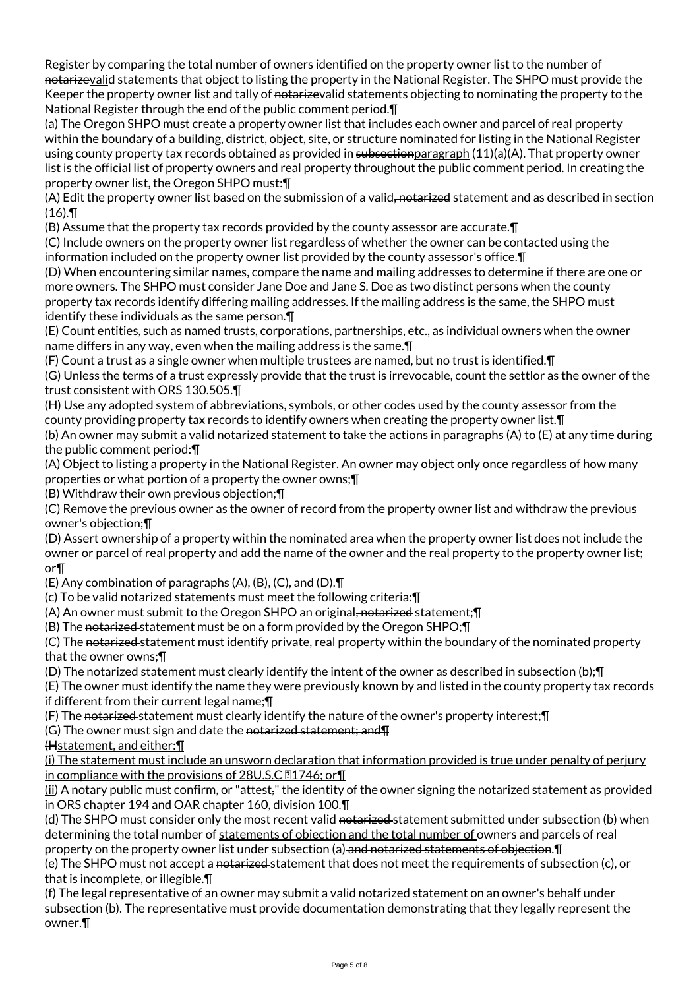Register by comparing the total number of owners identified on the property owner list to the number of notarizevalid statements that object to listing the property in the National Register. The SHPO must provide the Keeper the property owner list and tally of notarizevalid statements objecting to nominating the property to the National Register through the end of the public comment period.¶

(a) The Oregon SHPO must create a property owner list that includes each owner and parcel of real property within the boundary of a building, district, object, site, or structure nominated for listing in the National Register using county property tax records obtained as provided in subsection paragraph  $(11)(a)(A)$ . That property owner list is the official list of property owners and real property throughout the public comment period. In creating the property owner list, the Oregon SHPO must:¶

(A) Edit the property owner list based on the submission of a valid, notarized statement and as described in section  $(16)$ .

(B) Assume that the property tax records provided by the county assessor are accurate.¶

(C) Include owners on the property owner list regardless of whether the owner can be contacted using the information included on the property owner list provided by the county assessor's office.¶

(D) When encountering similar names, compare the name and mailing addresses to determine if there are one or more owners. The SHPO must consider Jane Doe and Jane S. Doe as two distinct persons when the county property tax records identify differing mailing addresses. If the mailing address is the same, the SHPO must identify these individuals as the same person.¶

(E) Count entities, such as named trusts, corporations, partnerships, etc., as individual owners when the owner name differs in any way, even when the mailing address is the same.¶

(F) Count a trust as a single owner when multiple trustees are named, but no trust is identified.¶

(G) Unless the terms of a trust expressly provide that the trust is irrevocable, count the settlor as the owner of the trust consistent with ORS 130.505.¶

(H) Use any adopted system of abbreviations, symbols, or other codes used by the county assessor from the county providing property tax records to identify owners when creating the property owner list.¶

(b) An owner may submit a valid notarized statement to take the actions in paragraphs (A) to (E) at any time during the public comment period:¶

(A) Object to listing a property in the National Register. An owner may object only once regardless of how many properties or what portion of a property the owner owns;¶

(B) Withdraw their own previous objection;¶

(C) Remove the previous owner as the owner of record from the property owner list and withdraw the previous owner's objection;¶

(D) Assert ownership of a property within the nominated area when the property owner list does not include the owner or parcel of real property and add the name of the owner and the real property to the property owner list; or¶

(E) Any combination of paragraphs (A), (B), (C), and (D).¶

(c) To be valid notarized statements must meet the following criteria:¶

(A) An owner must submit to the Oregon SHPO an original, notarized statement;¶

(B) The notarized statement must be on a form provided by the Oregon SHPO;¶

(C) The notarized statement must identify private, real property within the boundary of the nominated property that the owner owns;¶

(D) The notarized statement must clearly identify the intent of the owner as described in subsection (b);¶

(E) The owner must identify the name they were previously known by and listed in the county property tax records if different from their current legal name;¶

(F) The notarized statement must clearly identify the nature of the owner's property interest; []

(G) The owner must sign and date the notarized statement; and  $\P$ 

(Hstatement, and either:¶

(i) The statement must include an unsworn declaration that information provided is true under penalty of perjury in compliance with the provisions of 28U.S.C  $\text{N1746}$ ; or  $\text{T}$ 

(ii) A notary public must confirm, or "attest," the identity of the owner signing the notarized statement as provided in ORS chapter 194 and OAR chapter 160, division 100.¶

(d) The SHPO must consider only the most recent valid notarized statement submitted under subsection (b) when determining the total number of statements of objection and the total number of owners and parcels of real property on the property owner list under subsection (a) and notarized statements of objection.¶

(e) The SHPO must not accept a notarized statement that does not meet the requirements of subsection (c), or that is incomplete, or illegible.¶

(f) The legal representative of an owner may submit a valid notarized-statement on an owner's behalf under subsection (b). The representative must provide documentation demonstrating that they legally represent the owner.¶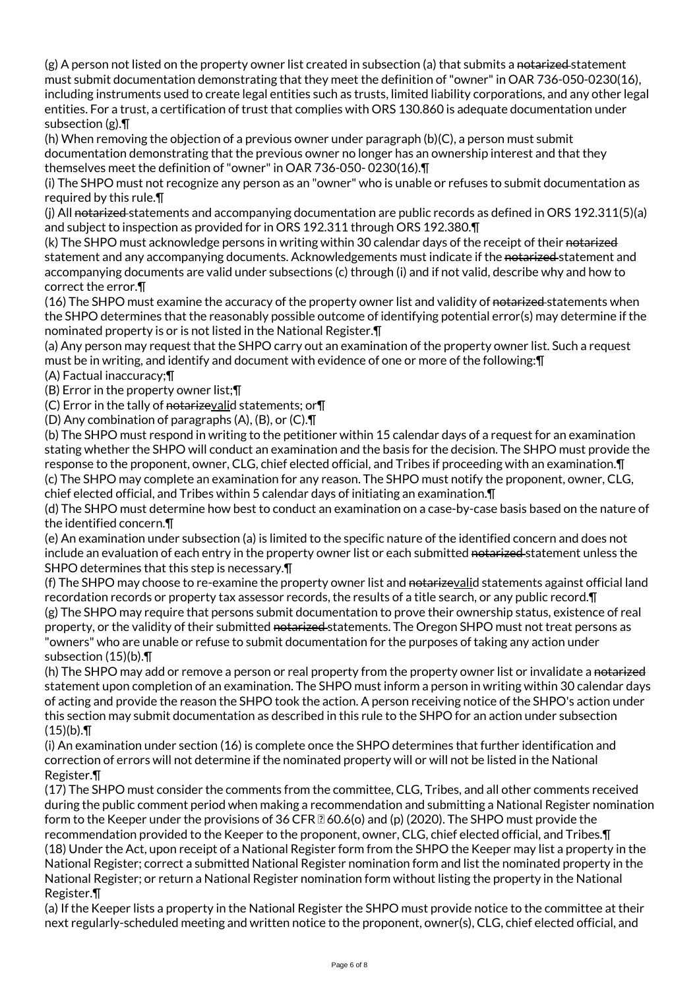$(g)$  A person not listed on the property owner list created in subsection (a) that submits a notarized-statement must submit documentation demonstrating that they meet the definition of "owner" in OAR 736-050-0230(16), including instruments used to create legal entities such as trusts, limited liability corporations, and any other legal entities. For a trust, a certification of trust that complies with ORS 130.860 is adequate documentation under subsection (g).¶

(h) When removing the objection of a previous owner under paragraph (b)(C), a person must submit documentation demonstrating that the previous owner no longer has an ownership interest and that they themselves meet the definition of "owner" in OAR 736-050- 0230(16).¶

(i) The SHPO must not recognize any person as an "owner" who is unable or refuses to submit documentation as required by this rule.¶

(i) All notarized statements and accompanying documentation are public records as defined in ORS 192.311(5)(a) and subject to inspection as provided for in ORS 192.311 through ORS 192.380.¶

(k) The SHPO must acknowledge persons in writing within 30 calendar days of the receipt of their notarized statement and any accompanying documents. Acknowledgements must indicate if the notarized statement and accompanying documents are valid under subsections (c) through (i) and if not valid, describe why and how to correct the error.¶

(16) The SHPO must examine the accuracy of the property owner list and validity of notarized-statements when the SHPO determines that the reasonably possible outcome of identifying potential error(s) may determine if the nominated property is or is not listed in the National Register.¶

(a) Any person may request that the SHPO carry out an examination of the property owner list. Such a request must be in writing, and identify and document with evidence of one or more of the following:¶

(A) Factual inaccuracy;¶

(B) Error in the property owner list;¶

(C) Error in the tally of notarizevalid statements; or  $\P$ 

(D) Any combination of paragraphs (A), (B), or (C).¶

(b) The SHPO must respond in writing to the petitioner within 15 calendar days of a request for an examination stating whether the SHPO will conduct an examination and the basis for the decision. The SHPO must provide the response to the proponent, owner, CLG, chief elected official, and Tribes if proceeding with an examination.¶ (c) The SHPO may complete an examination for any reason. The SHPO must notify the proponent, owner, CLG, chief elected official, and Tribes within 5 calendar days of initiating an examination.¶

(d) The SHPO must determine how best to conduct an examination on a case-by-case basis based on the nature of the identified concern.¶

(e) An examination under subsection (a) is limited to the specific nature of the identified concern and does not include an evaluation of each entry in the property owner list or each submitted notarized statement unless the SHPO determines that this step is necessary.¶

(f) The SHPO may choose to re-examine the property owner list and notarizevalid statements against official land recordation records or property tax assessor records, the results of a title search, or any public record.¶ (g) The SHPO may require that persons submit documentation to prove their ownership status, existence of real property, or the validity of their submitted notarized statements. The Oregon SHPO must not treat persons as "owners" who are unable or refuse to submit documentation for the purposes of taking any action under subsection (15)(b).¶

(h) The SHPO may add or remove a person or real property from the property owner list or invalidate a notarized statement upon completion of an examination. The SHPO must inform a person in writing within 30 calendar days of acting and provide the reason the SHPO took the action. A person receiving notice of the SHPO's action under this section may submit documentation as described in this rule to the SHPO for an action under subsection  $(15)(b)$ . T

(i) An examination under section (16) is complete once the SHPO determines that further identification and correction of errors will not determine if the nominated property will or will not be listed in the National Register.¶

(17) The SHPO must consider the comments from the committee, CLG, Tribes, and all other comments received during the public comment period when making a recommendation and submitting a National Register nomination form to the Keeper under the provisions of 36 CFR  $\mathbb{Z}$  60.6(o) and (p) (2020). The SHPO must provide the recommendation provided to the Keeper to the proponent, owner, CLG, chief elected official, and Tribes.¶ (18) Under the Act, upon receipt of a National Register form from the SHPO the Keeper may list a property in the National Register; correct a submitted National Register nomination form and list the nominated property in the National Register; or return a National Register nomination form without listing the property in the National Register.¶

(a) If the Keeper lists a property in the National Register the SHPO must provide notice to the committee at their next regularly-scheduled meeting and written notice to the proponent, owner(s), CLG, chief elected official, and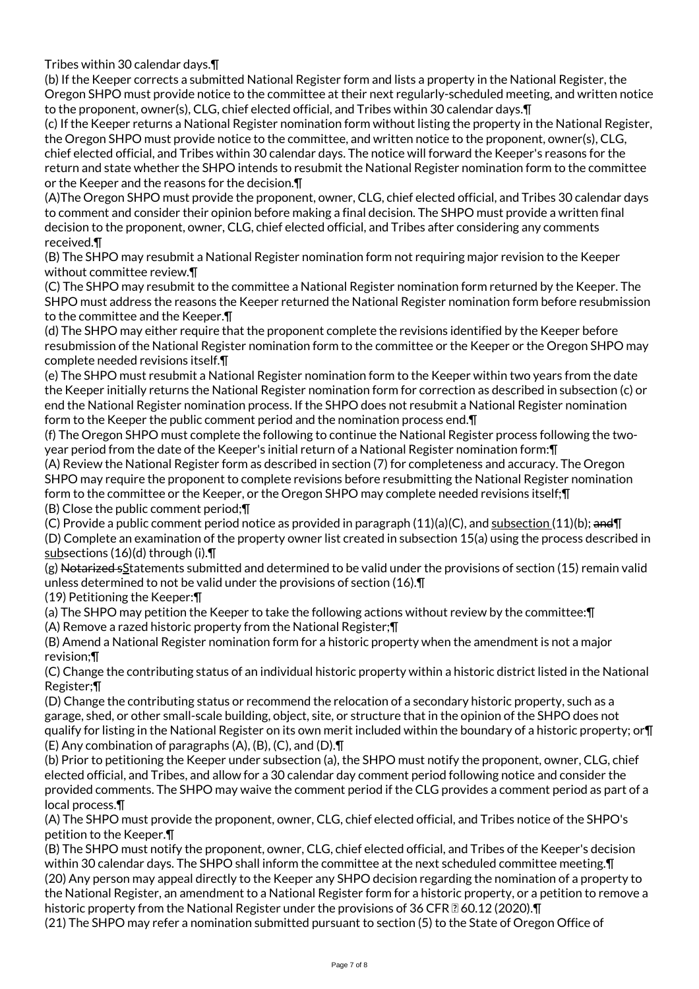Tribes within 30 calendar days.¶

(b) If the Keeper corrects a submitted National Register form and lists a property in the National Register, the Oregon SHPO must provide notice to the committee at their next regularly-scheduled meeting, and written notice to the proponent, owner(s), CLG, chief elected official, and Tribes within 30 calendar days.¶

(c) If the Keeper returns a National Register nomination form without listing the property in the National Register, the Oregon SHPO must provide notice to the committee, and written notice to the proponent, owner(s), CLG, chief elected official, and Tribes within 30 calendar days. The notice will forward the Keeper's reasons for the return and state whether the SHPO intends to resubmit the National Register nomination form to the committee or the Keeper and the reasons for the decision.¶

(A)The Oregon SHPO must provide the proponent, owner, CLG, chief elected official, and Tribes 30 calendar days to comment and consider their opinion before making a final decision. The SHPO must provide a written final decision to the proponent, owner, CLG, chief elected official, and Tribes after considering any comments received.¶

(B) The SHPO may resubmit a National Register nomination form not requiring major revision to the Keeper without committee review.¶

(C) The SHPO may resubmit to the committee a National Register nomination form returned by the Keeper. The SHPO must address the reasons the Keeper returned the National Register nomination form before resubmission to the committee and the Keeper.¶

(d) The SHPO may either require that the proponent complete the revisions identified by the Keeper before resubmission of the National Register nomination form to the committee or the Keeper or the Oregon SHPO may complete needed revisions itself.¶

(e) The SHPO must resubmit a National Register nomination form to the Keeper within two years from the date the Keeper initially returns the National Register nomination form for correction as described in subsection (c) or end the National Register nomination process. If the SHPO does not resubmit a National Register nomination form to the Keeper the public comment period and the nomination process end.¶

(f) The Oregon SHPO must complete the following to continue the National Register process following the twoyear period from the date of the Keeper's initial return of a National Register nomination form:¶

(A) Review the National Register form as described in section (7) for completeness and accuracy. The Oregon SHPO may require the proponent to complete revisions before resubmitting the National Register nomination form to the committee or the Keeper, or the Oregon SHPO may complete needed revisions itself;¶ (B) Close the public comment period;¶

(C) Provide a public comment period notice as provided in paragraph  $(11)(a)(C)$ , and subsection  $(11)(b)$ ; and I

(D) Complete an examination of the property owner list created in subsection 15(a) using the process described in subsections (16)(d) through (i).¶

(g) Notarized sStatements submitted and determined to be valid under the provisions of section (15) remain valid unless determined to not be valid under the provisions of section (16).¶

(19) Petitioning the Keeper:¶

(a) The SHPO may petition the Keeper to take the following actions without review by the committee:¶

(A) Remove a razed historic property from the National Register;¶

(B) Amend a National Register nomination form for a historic property when the amendment is not a major revision;¶

(C) Change the contributing status of an individual historic property within a historic district listed in the National Register;¶

(D) Change the contributing status or recommend the relocation of a secondary historic property, such as a garage, shed, or other small-scale building, object, site, or structure that in the opinion of the SHPO does not qualify for listing in the National Register on its own merit included within the boundary of a historic property; or¶ (E) Any combination of paragraphs (A), (B), (C), and (D).¶

(b) Prior to petitioning the Keeper under subsection (a), the SHPO must notify the proponent, owner, CLG, chief elected official, and Tribes, and allow for a 30 calendar day comment period following notice and consider the provided comments. The SHPO may waive the comment period if the CLG provides a comment period as part of a local process.¶

(A) The SHPO must provide the proponent, owner, CLG, chief elected official, and Tribes notice of the SHPO's petition to the Keeper.¶

(B) The SHPO must notify the proponent, owner, CLG, chief elected official, and Tribes of the Keeper's decision within 30 calendar days. The SHPO shall inform the committee at the next scheduled committee meeting.¶ (20) Any person may appeal directly to the Keeper any SHPO decision regarding the nomination of a property to the National Register, an amendment to a National Register form for a historic property, or a petition to remove a historic property from the National Register under the provisions of 36 CFR  $\mathbb{Z}$  60.12 (2020). T

(21) The SHPO may refer a nomination submitted pursuant to section (5) to the State of Oregon Office of